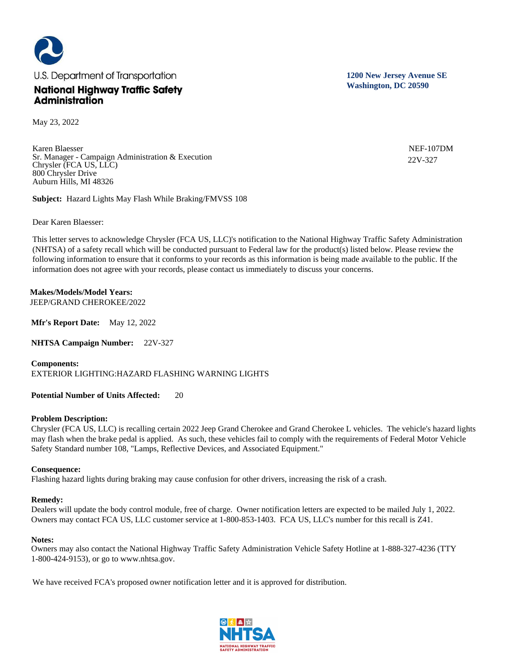

May 23, 2022

Karen Blaesser Sr. Manager - Campaign Administration & Execution Chrysler (FCA US, LLC) 800 Chrysler Drive Auburn Hills, MI 48326

**Subject:** Hazard Lights May Flash While Braking/FMVSS 108

Dear Karen Blaesser:

This letter serves to acknowledge Chrysler (FCA US, LLC)'s notification to the National Highway Traffic Safety Administration (NHTSA) of a safety recall which will be conducted pursuant to Federal law for the product(s) listed below. Please review the following information to ensure that it conforms to your records as this information is being made available to the public. If the information does not agree with your records, please contact us immediately to discuss your concerns.

**Makes/Models/Model Years:**  JEEP/GRAND CHEROKEE/2022

**Mfr's Report Date:** May 12, 2022

**NHTSA Campaign Number:** 22V-327

**Components:**  EXTERIOR LIGHTING:HAZARD FLASHING WARNING LIGHTS

**Potential Number of Units Affected:** 20

## **Problem Description:**

Chrysler (FCA US, LLC) is recalling certain 2022 Jeep Grand Cherokee and Grand Cherokee L vehicles. The vehicle's hazard lights may flash when the brake pedal is applied. As such, these vehicles fail to comply with the requirements of Federal Motor Vehicle Safety Standard number 108, "Lamps, Reflective Devices, and Associated Equipment."

## **Consequence:**

Flashing hazard lights during braking may cause confusion for other drivers, increasing the risk of a crash.

## **Remedy:**

Dealers will update the body control module, free of charge. Owner notification letters are expected to be mailed July 1, 2022. Owners may contact FCA US, LLC customer service at 1-800-853-1403. FCA US, LLC's number for this recall is Z41.

## **Notes:**

Owners may also contact the National Highway Traffic Safety Administration Vehicle Safety Hotline at 1-888-327-4236 (TTY 1-800-424-9153), or go to www.nhtsa.gov.

We have received FCA's proposed owner notification letter and it is approved for distribution.



**1200 New Jersey Avenue SE Washington, DC 20590**

> NEF-107DM 22V-327